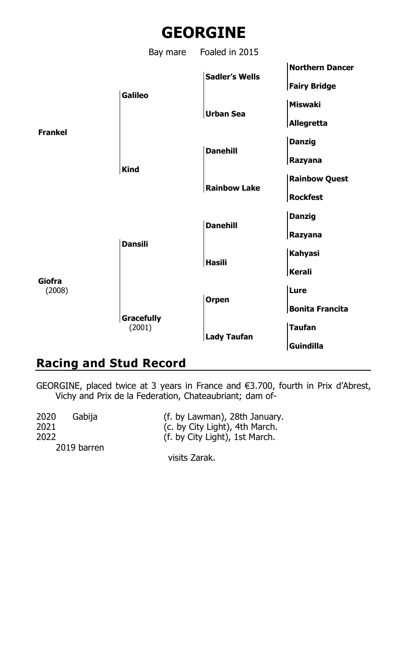



# **Racing and Stud Record**

GEORGINE, placed twice at 3 years in France and €3.700, fourth in Prix d'Abrest, Vichy and Prix de la Federation, Chateaubriant; dam of-

visits Zarak.

| 2020        | Gabiia | (f. by Lawman), 28th January.  |
|-------------|--------|--------------------------------|
| 2021        |        | (c. by City Light), 4th March. |
| 2022        |        | (f. by City Light), 1st March. |
| 2019 barren |        |                                |